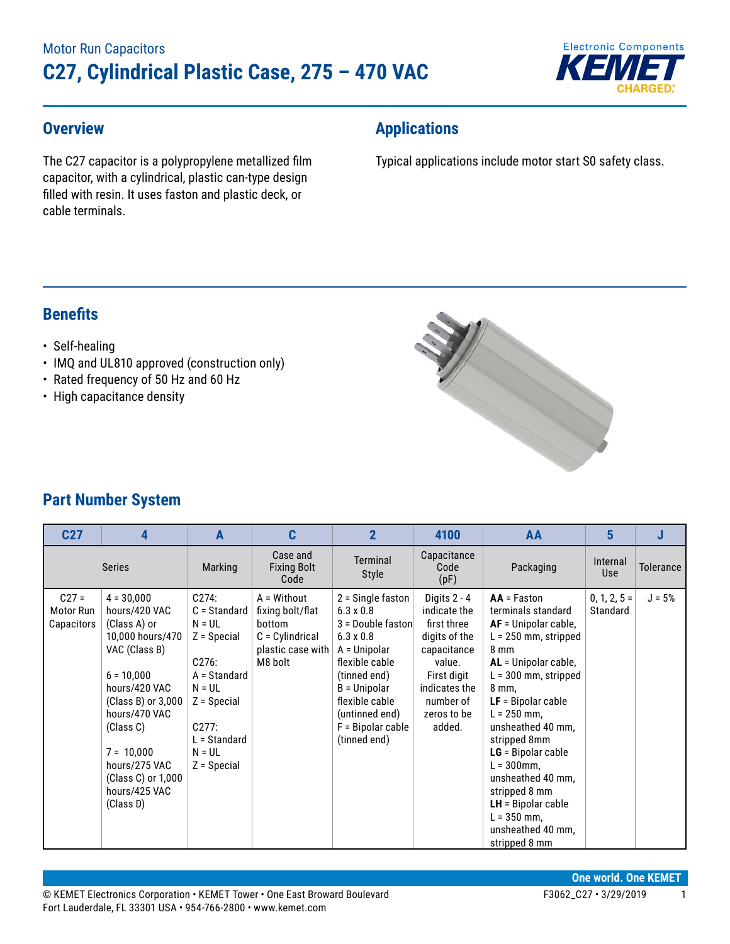

### **Overview**

The C27 capacitor is a polypropylene metallized film capacitor, with a cylindrical, plastic can-type design filled with resin. It uses faston and plastic deck, or cable terminals.

## **Applications**

Typical applications include motor start S0 safety class.

### **Benefits**

#### • Self-healing

- IMQ and UL810 approved (construction only)
- Rated frequency of 50 Hz and 60 Hz
- High capacitance density



## **Part Number System**

| C <sub>27</sub>                    | 4                                                                                                                                                                                                                                                            | A                                                                                                                                                                  | C                                                                                              | $\overline{2}$                                                                                                                                                                                                                | 4100                                                                                                                                                        | AA                                                                                                                                                                                                                                                                                                                                                                                                     | 5                          |                  |
|------------------------------------|--------------------------------------------------------------------------------------------------------------------------------------------------------------------------------------------------------------------------------------------------------------|--------------------------------------------------------------------------------------------------------------------------------------------------------------------|------------------------------------------------------------------------------------------------|-------------------------------------------------------------------------------------------------------------------------------------------------------------------------------------------------------------------------------|-------------------------------------------------------------------------------------------------------------------------------------------------------------|--------------------------------------------------------------------------------------------------------------------------------------------------------------------------------------------------------------------------------------------------------------------------------------------------------------------------------------------------------------------------------------------------------|----------------------------|------------------|
| <b>Series</b>                      |                                                                                                                                                                                                                                                              | Marking                                                                                                                                                            | Case and<br><b>Fixing Bolt</b><br>Code                                                         | Terminal<br><b>Style</b>                                                                                                                                                                                                      | Capacitance<br>Code<br>(pF)                                                                                                                                 | Packaging                                                                                                                                                                                                                                                                                                                                                                                              | Internal<br><b>Use</b>     | <b>Tolerance</b> |
| $C27 =$<br>Motor Run<br>Capacitors | $4 = 30,000$<br>hours/420 VAC<br>(Class A) or<br>10,000 hours/470<br>VAC (Class B)<br>$6 = 10,000$<br>hours/420 VAC<br>(Class B) or 3,000<br>hours/470 VAC<br>(Class C)<br>$7 = 10,000$<br>hours/275 VAC<br>(Class C) or 1,000<br>hours/425 VAC<br>(Class D) | C274:<br>$C = Standard$<br>$N = UL$<br>$Z = Special$<br>C276:<br>A = Standard<br>$N = UL$<br>$Z = Special$<br>C277:<br>$L =$ Standard<br>$N = UL$<br>$Z = Special$ | A = Without<br>fixing bolt/flat<br>bottom<br>$C = Cylindrical$<br>plastic case with<br>M8 bolt | $2 =$ Single faston<br>$6.3 \times 0.8$<br>3 = Double faston<br>$6.3 \times 0.8$<br>A = Unipolar<br>flexible cable<br>(tinned end)<br>$B = Unipolar$<br>flexible cable<br>(untinned end)<br>F = Bipolar cable<br>(tinned end) | Digits 2 - 4<br>indicate the<br>first three<br>digits of the<br>capacitance<br>value.<br>First digit<br>indicates the<br>number of<br>zeros to be<br>added. | $AA = Faston$<br>terminals standard<br>$AF = Unipolar cable,$<br>$L = 250$ mm, stripped<br>8 mm<br>AL = Unipolar cable,<br>$L = 300$ mm, stripped<br>8 mm,<br>$LF = Bipolar cable$<br>$L = 250$ mm,<br>unsheathed 40 mm,<br>stripped 8mm<br>$LG = Bipolar cable$<br>$L = 300$ mm,<br>unsheathed 40 mm.<br>stripped 8 mm<br>$LH =$ Bipolar cable<br>$L = 350$ mm,<br>unsheathed 40 mm,<br>stripped 8 mm | $0, 1, 2, 5 =$<br>Standard | $J = 5%$         |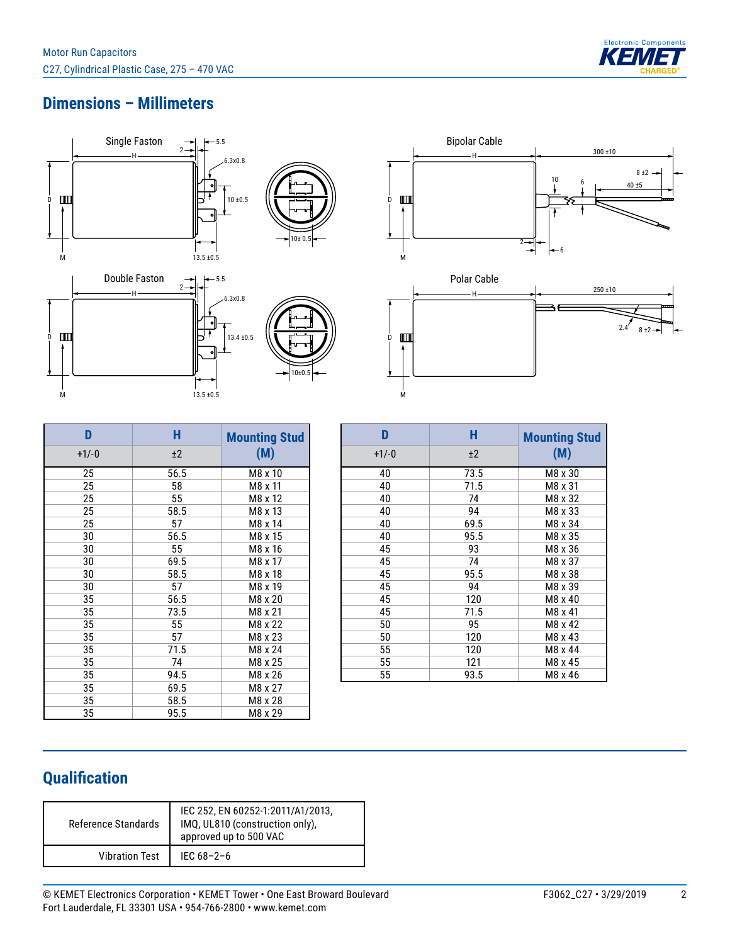

## **Dimensions – Millimeters**





| D       | H    | <b>Mounting Stud</b> |
|---------|------|----------------------|
| $+1/-0$ | ±2   | (M)                  |
| 25      | 56.5 | M8 x 10              |
| 25      | 58   | M8 x 11              |
| 25      | 55   | M8 x 12              |
| 25      | 58.5 | M8 x 13              |
| 25      | 57   | M8 x 14              |
| 30      | 56.5 | M8 x 15              |
| 30      | 55   | M8 x 16              |
| 30      | 69.5 | M8 x 17              |
| 30      | 58.5 | M8 x 18              |
| 30      | 57   | M8 x 19              |
| 35      | 56.5 | M8 x 20              |
| 35      | 73.5 | M8 x 21              |
| 35      | 55   | M8 x 22              |
| 35      | 57   | M8 x 23              |
| 35      | 71.5 | M8 x 24              |
| 35      | 74   | M8 x 25              |
| 35      | 94.5 | M8 x 26              |
| 35      | 69.5 | M8 x 27              |
| 35      | 58.5 | M8 x 28              |
| 35      | 95.5 | M8 x 29              |

| D       | н    | <b>Mounting Stud</b> |
|---------|------|----------------------|
| $+1/-0$ | ±2   | (M)                  |
| 40      | 73.5 | M8 x 30              |
| 40      | 71.5 | M8 x 31              |
| 40      | 74   | M8 x 32              |
| 40      | 94   | M8 x 33              |
| 40      | 69.5 | M8 x 34              |
| 40      | 95.5 | M8 x 35              |
| 45      | 93   | M8 x 36              |
| 45      | 74   | M8 x 37              |
| 45      | 95.5 | M8 x 38              |
| 45      | 94   | M8 x 39              |
| 45      | 120  | M8 x 40              |
| 45      | 71.5 | M8 x 41              |
| 50      | 95   | M8 x 42              |
| 50      | 120  | M8 x 43              |
| 55      | 120  | M8 x 44              |
| 55      | 121  | M8 x 45              |
| 55      | 93.5 | M8 x 46              |

M

# **Qualification**

| <b>Reference Standards</b> | IEC 252, EN 60252-1:2011/A1/2013,<br>IMQ, UL810 (construction only),<br>approved up to 500 VAC |
|----------------------------|------------------------------------------------------------------------------------------------|
| <b>Vibration Test</b>      | IEC $68 - 2 - 6$                                                                               |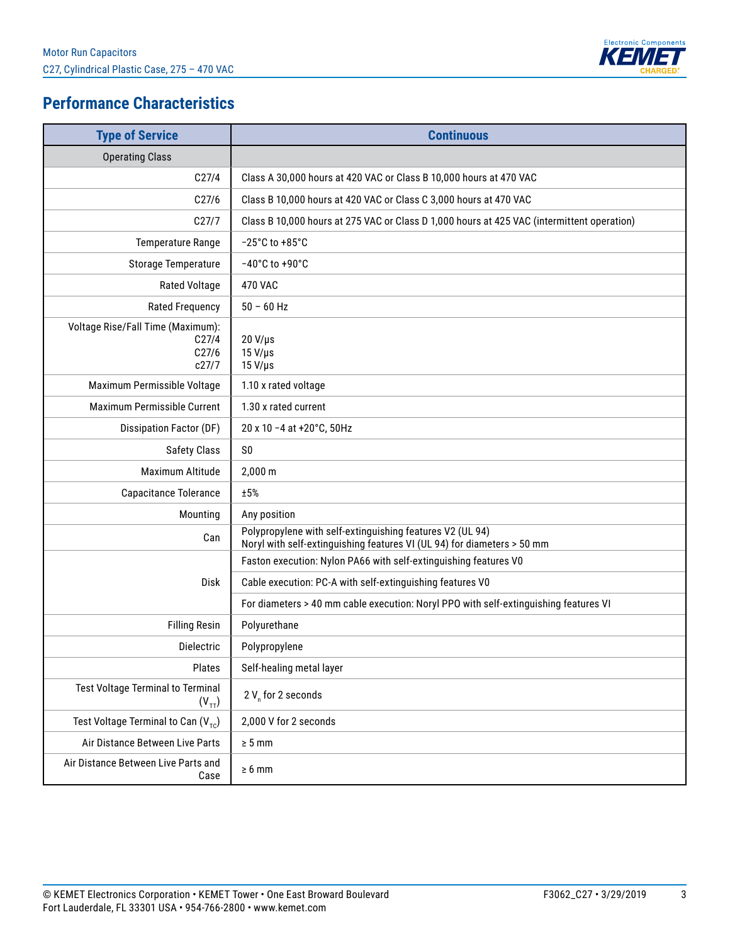

# **Performance Characteristics**

| <b>Type of Service</b>                                                   | <b>Continuous</b>                                                                                                                    |
|--------------------------------------------------------------------------|--------------------------------------------------------------------------------------------------------------------------------------|
| <b>Operating Class</b>                                                   |                                                                                                                                      |
| C <sub>27/4</sub>                                                        | Class A 30,000 hours at 420 VAC or Class B 10,000 hours at 470 VAC                                                                   |
| C27/6                                                                    | Class B 10,000 hours at 420 VAC or Class C 3,000 hours at 470 VAC                                                                    |
| C27/7                                                                    | Class B 10,000 hours at 275 VAC or Class D 1,000 hours at 425 VAC (intermittent operation)                                           |
| <b>Temperature Range</b>                                                 | $-25^{\circ}$ C to +85 $^{\circ}$ C                                                                                                  |
| <b>Storage Temperature</b>                                               | $-40^{\circ}$ C to $+90^{\circ}$ C                                                                                                   |
| Rated Voltage                                                            | <b>470 VAC</b>                                                                                                                       |
| <b>Rated Frequency</b>                                                   | $50 - 60$ Hz                                                                                                                         |
| Voltage Rise/Fall Time (Maximum):<br>C <sub>27/4</sub><br>C27/6<br>c27/7 | $20 V/\mu s$<br>$15 V/ \mu s$<br>$15 V/ \mu s$                                                                                       |
| Maximum Permissible Voltage                                              | 1.10 x rated voltage                                                                                                                 |
| Maximum Permissible Current                                              | 1.30 x rated current                                                                                                                 |
| Dissipation Factor (DF)                                                  | 20 x 10 -4 at +20°C, 50Hz                                                                                                            |
| <b>Safety Class</b>                                                      | S <sub>0</sub>                                                                                                                       |
| Maximum Altitude                                                         | 2,000 m                                                                                                                              |
| Capacitance Tolerance                                                    | ±5%                                                                                                                                  |
| Mounting                                                                 | Any position                                                                                                                         |
| Can                                                                      | Polypropylene with self-extinguishing features V2 (UL 94)<br>Noryl with self-extinguishing features VI (UL 94) for diameters > 50 mm |
|                                                                          | Faston execution: Nylon PA66 with self-extinguishing features V0                                                                     |
| Disk                                                                     | Cable execution: PC-A with self-extinguishing features V0                                                                            |
|                                                                          | For diameters > 40 mm cable execution: Noryl PPO with self-extinguishing features VI                                                 |
| <b>Filling Resin</b>                                                     | Polyurethane                                                                                                                         |
| <b>Dielectric</b>                                                        | Polypropylene                                                                                                                        |
| Plates                                                                   | Self-healing metal layer                                                                                                             |
| <b>Test Voltage Terminal to Terminal</b><br>$(V_{TT})$                   | 2 V for 2 seconds                                                                                                                    |
| Test Voltage Terminal to Can $(V_{\tau c})$                              | 2,000 V for 2 seconds                                                                                                                |
| Air Distance Between Live Parts                                          | $\geq 5$ mm                                                                                                                          |
| Air Distance Between Live Parts and<br>Case                              | $\geq 6$ mm                                                                                                                          |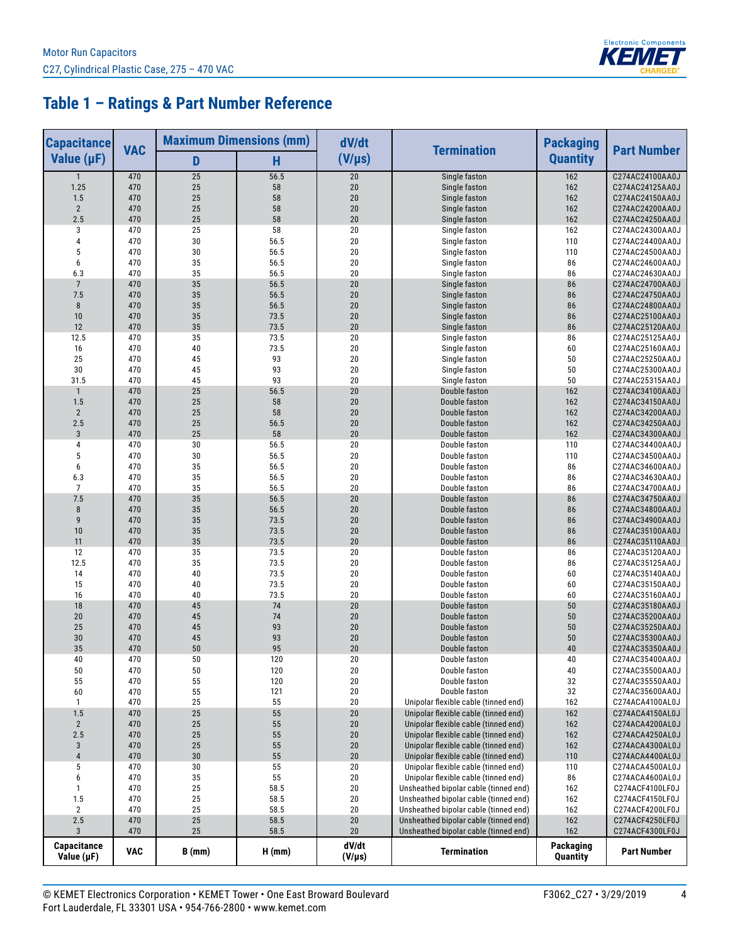

# **Table 1 – Ratings & Part Number Reference**

| <b>Capacitance</b>        | <b>VAC</b> | <b>Maximum Dimensions (mm)</b> |              | dV/dt                | <b>Termination</b>                    | <b>Packaging</b>      | <b>Part Number</b>                 |
|---------------------------|------------|--------------------------------|--------------|----------------------|---------------------------------------|-----------------------|------------------------------------|
| Value $(\mu F)$           |            | D                              | H            | $(V/\mu s)$          |                                       | <b>Quantity</b>       |                                    |
| $\mathbf{1}$              | 470        | 25                             | 56.5         | 20                   | Single faston                         | 162                   | C274AC24100AA0J                    |
| 1.25                      | 470        | 25                             | 58           | 20                   | Single faston                         | 162                   | C274AC24125AA0J                    |
| 1.5                       | 470        | 25                             | 58           | 20                   | Single faston                         | 162                   | C274AC24150AA0J                    |
| $\sqrt{2}$                | 470        | 25                             | 58           | 20                   | Single faston                         | 162                   | C274AC24200AA0J                    |
| 2.5                       | 470        | 25                             | 58           | 20                   | Single faston                         | 162                   | C274AC24250AA0J                    |
| 3                         | 470        | 25                             | 58           | 20                   | Single faston                         | 162                   | C274AC24300AA0J                    |
| 4                         | 470        | 30                             | 56.5         | 20                   | Single faston                         | 110                   | C274AC24400AA0J                    |
| 5<br>6                    | 470        | 30                             | 56.5         | 20<br>20             | Single faston                         | 110<br>86             | C274AC24500AA0J                    |
| 6.3                       | 470<br>470 | 35<br>35                       | 56.5<br>56.5 | 20                   | Single faston<br>Single faston        | 86                    | C274AC24600AA0J<br>C274AC24630AA0J |
| $\overline{7}$            | 470        | 35                             | 56.5         | 20                   | Single faston                         | 86                    | C274AC24700AA0J                    |
| 7.5                       | 470        | 35                             | 56.5         | 20                   | Single faston                         | 86                    | C274AC24750AA0J                    |
| 8                         | 470        | 35                             | 56.5         | 20                   | Single faston                         | 86                    | C274AC24800AA0J                    |
| 10                        | 470        | 35                             | 73.5         | 20                   | Single faston                         | 86                    | C274AC25100AA0J                    |
| 12                        | 470        | 35                             | 73.5         | 20                   | Single faston                         | 86                    | C274AC25120AA0J                    |
| 12.5                      | 470        | 35                             | 73.5         | 20                   | Single faston                         | 86                    | C274AC25125AA0J                    |
| 16                        | 470        | 40                             | 73.5         | 20                   | Single faston                         | 60                    | C274AC25160AA0J                    |
| 25                        | 470        | 45                             | 93           | 20                   | Single faston                         | 50                    | C274AC25250AA0J                    |
| 30                        | 470        | 45                             | 93           | 20                   | Single faston                         | 50                    | C274AC25300AA0J                    |
| 31.5                      | 470        | 45                             | 93           | 20                   | Single faston                         | 50                    | C274AC25315AA0J                    |
| $\mathbf{1}$              | 470        | 25                             | 56.5         | 20                   | Double faston                         | 162                   | C274AC34100AA0J                    |
| 1.5                       | 470        | 25                             | 58           | 20                   | Double faston                         | 162                   | C274AC34150AA0J                    |
| $\overline{2}$            | 470        | 25                             | 58           | 20                   | Double faston                         | 162                   | C274AC34200AA0J                    |
| 2.5                       | 470        | 25                             | 56.5         | 20                   | Double faston                         | 162                   | C274AC34250AA0J                    |
| $\overline{3}$            | 470        | 25                             | 58           | 20                   | Double faston                         | 162                   | C274AC34300AA0J                    |
| 4                         | 470        | 30                             | 56.5         | 20                   | Double faston                         | 110                   | C274AC34400AA0J                    |
| 5                         | 470        | 30                             | 56.5         | 20                   | Double faston                         | 110                   | C274AC34500AA0J                    |
| 6                         | 470<br>470 | 35<br>35                       | 56.5         | 20<br>20             | Double faston                         | 86                    | C274AC34600AA0J                    |
| 6.3<br>$\overline{7}$     | 470        | 35                             | 56.5<br>56.5 | 20                   | Double faston<br>Double faston        | 86<br>86              | C274AC34630AA0J<br>C274AC34700AA0J |
| 7.5                       | 470        | 35                             | 56.5         | 20                   | Double faston                         | 86                    | C274AC34750AA0J                    |
| $\bf 8$                   | 470        | 35                             | 56.5         | 20                   | Double faston                         | 86                    | C274AC34800AA0J                    |
| 9                         | 470        | 35                             | 73.5         | 20                   | Double faston                         | 86                    | C274AC34900AA0J                    |
| 10                        | 470        | 35                             | 73.5         | 20                   | Double faston                         | 86                    | C274AC35100AA0J                    |
| 11                        | 470        | 35                             | 73.5         | 20                   | Double faston                         | 86                    | C274AC35110AA0J                    |
| 12                        | 470        | 35                             | 73.5         | 20                   | Double faston                         | 86                    | C274AC35120AA0J                    |
| 12.5                      | 470        | 35                             | 73.5         | 20                   | Double faston                         | 86                    | C274AC35125AA0J                    |
| 14                        | 470        | 40                             | 73.5         | 20                   | Double faston                         | 60                    | C274AC35140AA0J                    |
| 15                        | 470        | 40                             | 73.5         | 20                   | Double faston                         | 60                    | C274AC35150AA0J                    |
| 16                        | 470        | 40                             | 73.5         | 20                   | Double faston                         | 60                    | C274AC35160AA0J                    |
| 18                        | 470        | 45                             | 74           | 20                   | Double faston                         | 50                    | C274AC35180AA0J                    |
| 20                        | 470        | 45                             | 74           | 20                   | Double faston                         | 50                    | C274AC35200AA0J                    |
| 25                        | 470        | 45                             | 93           | 20                   | Double faston                         | 50                    | C274AC35250AA0J                    |
| 30                        | 470        | 45                             | 93           | 20                   | Double faston                         | 50                    | C274AC35300AA0J                    |
| 35                        | 470        | 50                             | 95           | 20                   | Double faston                         | 40                    | C274AC35350AA0J                    |
| 40                        | 470        | 50                             | 120          | 20                   | Double faston                         | 40                    | C274AC35400AA0J                    |
| 50                        | 470        | ${\bf 50}$                     | 120          | $20\,$               | Double faston                         | $40\,$                | C274AC35500AA0J                    |
| 55<br>60                  | 470<br>470 | 55<br>55                       | 120<br>121   | 20<br>20             | Double faston<br>Double faston        | 32<br>32              | C274AC35550AA0J<br>C274AC35600AA0J |
| $\mathbf{1}$              | 470        | 25                             | 55           | 20                   | Unipolar flexible cable (tinned end)  | 162                   | C274ACA4100AL0J                    |
| 1.5                       | 470        | $25\,$                         | 55           | 20                   | Unipolar flexible cable (tinned end)  | 162                   | C274ACA4150AL0J                    |
| $\sqrt{2}$                | 470        | 25                             | 55           | 20                   | Unipolar flexible cable (tinned end)  | 162                   | C274ACA4200AL0J                    |
| 2.5                       | 470        | 25                             | 55           | 20                   | Unipolar flexible cable (tinned end)  | 162                   | C274ACA4250AL0J                    |
| $\sqrt{3}$                | 470        | 25                             | 55           | 20                   | Unipolar flexible cable (tinned end)  | 162                   | C274ACA4300AL0J                    |
| $\pmb{4}$                 | 470        | 30                             | 55           | 20                   | Unipolar flexible cable (tinned end)  | 110                   | C274ACA4400AL0J                    |
| 5                         | 470        | $30\,$                         | 55           | 20                   | Unipolar flexible cable (tinned end)  | 110                   | C274ACA4500AL0J                    |
| 6                         | 470        | 35                             | 55           | 20                   | Unipolar flexible cable (tinned end)  | 86                    | C274ACA4600AL0J                    |
| $\mathbf{1}$              | 470        | 25                             | 58.5         | 20                   | Unsheathed bipolar cable (tinned end) | 162                   | C274ACF4100LF0J                    |
| 1.5                       | 470        | 25                             | 58.5         | 20                   | Unsheathed bipolar cable (tinned end) | 162                   | C274ACF4150LF0J                    |
| $\overline{2}$            | 470        | 25                             | 58.5         | 20                   | Unsheathed bipolar cable (tinned end) | 162                   | C274ACF4200LF0J                    |
| 2.5                       | 470        | 25                             | 58.5         | $20\,$               | Unsheathed bipolar cable (tinned end) | 162                   | C274ACF4250LF0J                    |
| $\mathbf{3}$              | 470        | 25                             | 58.5         | 20                   | Unsheathed bipolar cable (tinned end) | 162                   | C274ACF4300LF0J                    |
| Capacitance<br>Value (µF) | <b>VAC</b> | $B$ (mm)                       | H(mm)        | dV/dt<br>$(V/\mu s)$ | <b>Termination</b>                    | Packaging<br>Quantity | <b>Part Number</b>                 |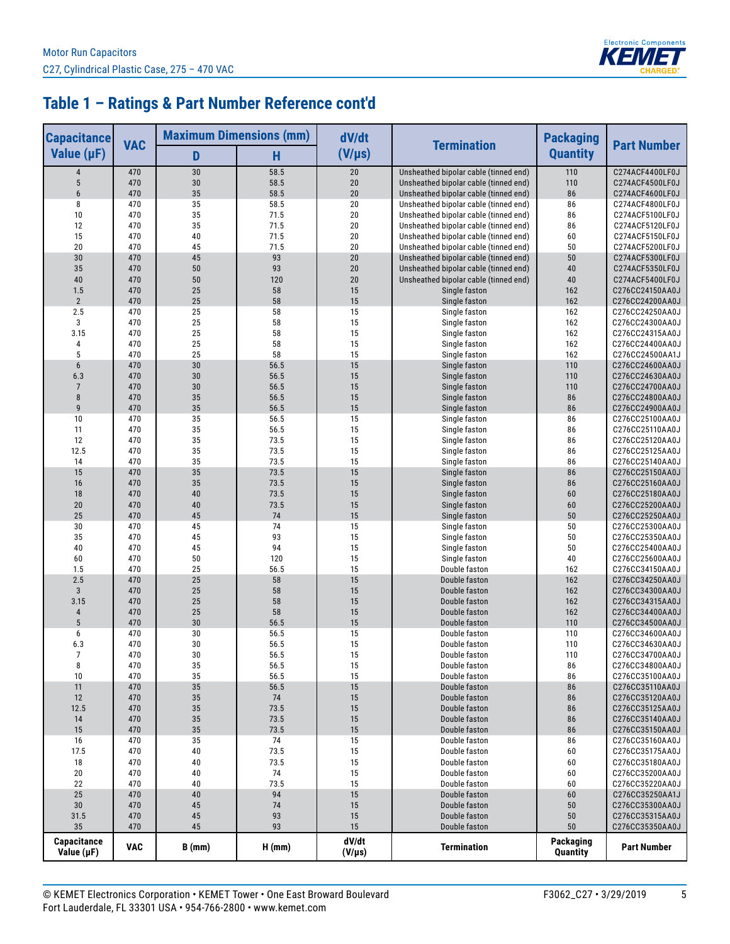

# **Table 1 – Ratings & Part Number Reference cont'd**

| <b>Capacitance</b>        | <b>VAC</b> |          | <b>Maximum Dimensions (mm)</b> | dV/dt                |                                                                                | <b>Packaging</b>      | <b>Part Number</b>                 |
|---------------------------|------------|----------|--------------------------------|----------------------|--------------------------------------------------------------------------------|-----------------------|------------------------------------|
| Value $(\mu F)$           |            | D        | н                              | $(V/\mu s)$          | <b>Termination</b>                                                             | <b>Quantity</b>       |                                    |
| 4                         | 470        | 30       | 58.5                           | 20                   | Unsheathed bipolar cable (tinned end)                                          | 110                   | C274ACF4400LF0J                    |
| 5                         | 470        | 30       | 58.5                           | 20                   | Unsheathed bipolar cable (tinned end)                                          | 110                   | C274ACF4500LF0J                    |
| 6                         | 470        | 35       | 58.5                           | 20                   | Unsheathed bipolar cable (tinned end)                                          | 86                    | C274ACF4600LF0J                    |
| 8                         | 470        | 35<br>35 | 58.5                           | 20                   | Unsheathed bipolar cable (tinned end)                                          | 86<br>86              | C274ACF4800LF0J                    |
| 10<br>12                  | 470<br>470 | 35       | 71.5<br>71.5                   | 20<br>20             | Unsheathed bipolar cable (tinned end)<br>Unsheathed bipolar cable (tinned end) | 86                    | C274ACF5100LF0J<br>C274ACF5120LF0J |
| 15                        | 470        | 40       | 71.5                           | 20                   | Unsheathed bipolar cable (tinned end)                                          | 60                    | C274ACF5150LF0J                    |
| 20                        | 470        | 45       | 71.5                           | 20                   | Unsheathed bipolar cable (tinned end)                                          | 50                    | C274ACF5200LF0J                    |
| 30                        | 470        | 45       | 93                             | 20                   | Unsheathed bipolar cable (tinned end)                                          | 50                    | C274ACF5300LF0J                    |
| 35                        | 470        | 50       | 93                             | 20                   | Unsheathed bipolar cable (tinned end)                                          | 40                    | C274ACF5350LF0J                    |
| 40                        | 470        | 50       | 120                            | 20                   | Unsheathed bipolar cable (tinned end)                                          | 40                    | C274ACF5400LF0J                    |
| 1.5                       | 470        | 25       | 58                             | 15                   | Single faston                                                                  | 162                   | C276CC24150AA0J                    |
| $\overline{2}$            | 470        | 25       | 58                             | 15                   | Single faston                                                                  | 162                   | C276CC24200AA0J                    |
| 2.5                       | 470        | 25       | 58                             | 15                   | Single faston                                                                  | 162                   | C276CC24250AA0J                    |
| 3                         | 470        | 25       | 58                             | 15                   | Single faston                                                                  | 162                   | C276CC24300AA0J                    |
| 3.15<br>4                 | 470<br>470 | 25<br>25 | 58<br>58                       | 15<br>15             | Single faston<br>Single faston                                                 | 162<br>162            | C276CC24315AA0J<br>C276CC24400AA0J |
| 5                         | 470        | 25       | 58                             | 15                   | Single faston                                                                  | 162                   | C276CC24500AA1J                    |
| $6\phantom{1}$            | 470        | 30       | 56.5                           | 15                   | Single faston                                                                  | 110                   | C276CC24600AA0J                    |
| 6.3                       | 470        | 30       | 56.5                           | 15                   | Single faston                                                                  | 110                   | C276CC24630AA0J                    |
| $\overline{7}$            | 470        | 30       | 56.5                           | 15                   | Single faston                                                                  | 110                   | C276CC24700AA0J                    |
| 8                         | 470        | 35       | 56.5                           | 15                   | Single faston                                                                  | 86                    | C276CC24800AA0J                    |
| 9                         | 470        | 35       | 56.5                           | 15                   | Single faston                                                                  | 86                    | C276CC24900AA0J                    |
| 10                        | 470        | 35       | 56.5                           | 15                   | Single faston                                                                  | 86                    | C276CC25100AA0J                    |
| 11                        | 470        | 35       | 56.5                           | 15                   | Single faston                                                                  | 86                    | C276CC25110AA0J                    |
| 12                        | 470        | 35       | 73.5                           | 15                   | Single faston                                                                  | 86                    | C276CC25120AA0J                    |
| 12.5                      | 470        | 35       | 73.5                           | 15                   | Single faston                                                                  | 86                    | C276CC25125AA0J                    |
| 14<br>15                  | 470<br>470 | 35<br>35 | 73.5<br>73.5                   | 15<br>15             | Single faston<br>Single faston                                                 | 86<br>86              | C276CC25140AA0J<br>C276CC25150AA0J |
| 16                        | 470        | 35       | 73.5                           | 15                   | Single faston                                                                  | 86                    | C276CC25160AA0J                    |
| 18                        | 470        | 40       | 73.5                           | 15                   | Single faston                                                                  | 60                    | C276CC25180AA0J                    |
| 20                        | 470        | 40       | 73.5                           | 15                   | Single faston                                                                  | 60                    | C276CC25200AA0J                    |
| 25                        | 470        | 45       | 74                             | 15                   | Single faston                                                                  | 50                    | C276CC25250AA0J                    |
| 30                        | 470        | 45       | 74                             | 15                   | Single faston                                                                  | 50                    | C276CC25300AA0J                    |
| 35                        | 470        | 45       | 93                             | 15                   | Single faston                                                                  | 50                    | C276CC25350AA0J                    |
| 40                        | 470        | 45       | 94                             | 15                   | Single faston                                                                  | 50                    | C276CC25400AA0J                    |
| 60                        | 470        | 50       | 120                            | 15                   | Single faston                                                                  | 40                    | C276CC25600AA0J                    |
| 1.5<br>2.5                | 470        | 25<br>25 | 56.5<br>58                     | 15<br>15             | Double faston                                                                  | 162                   | C276CC34150AA0J                    |
| $\overline{3}$            | 470<br>470 | 25       | 58                             | 15                   | Double faston<br>Double faston                                                 | 162<br>162            | C276CC34250AA0J<br>C276CC34300AA0J |
| 3.15                      | 470        | 25       | 58                             | 15                   | Double faston                                                                  | 162                   | C276CC34315AA0J                    |
| $\sqrt{4}$                | 470        | 25       | 58                             | 15                   | Double faston                                                                  | 162                   | C276CC34400AA0J                    |
| 5                         | 470        | 30       | 56.5                           | 15                   | Double faston                                                                  | 110                   | C276CC34500AA0J                    |
| 6                         | 470        | 30       | 56.5                           | 15                   | Double faston                                                                  | 110                   | C276CC34600AA0J                    |
| 6.3                       | 470        | 30       | 56.5                           | 15                   | Double faston                                                                  | 110                   | C276CC34630AA0J                    |
| 7                         | 470        | 30       | 56.5                           | 15                   | Double faston                                                                  | 110                   | C276CC34700AA0J                    |
| 8                         | 470        | 35       | 56.5                           | 15                   | Double faston                                                                  | 86                    | C276CC34800AA0J                    |
| 10                        | 470        | 35       | 56.5                           | 15                   | Double faston                                                                  | 86                    | C276CC35100AA0J                    |
| 11                        | 470        | $35\,$   | 56.5                           | 15                   | Double faston                                                                  | 86                    | C276CC35110AA0J                    |
| 12<br>12.5                | 470<br>470 | 35<br>35 | $74$<br>73.5                   | 15<br>15             | Double faston<br>Double faston                                                 | 86                    | C276CC35120AA0J<br>C276CC35125AA0J |
| 14                        | 470        | 35       | 73.5                           | 15                   | Double faston                                                                  | 86<br>86              | C276CC35140AA0J                    |
| 15                        | 470        | $35\,$   | 73.5                           | 15                   | Double faston                                                                  | 86                    | C276CC35150AA0J                    |
| 16                        | 470        | 35       | 74                             | 15                   | Double faston                                                                  | 86                    | C276CC35160AA0J                    |
| 17.5                      | 470        | 40       | 73.5                           | 15                   | Double faston                                                                  | 60                    | C276CC35175AA0J                    |
| 18                        | 470        | 40       | 73.5                           | 15                   | Double faston                                                                  | 60                    | C276CC35180AA0J                    |
| 20                        | 470        | 40       | 74                             | 15                   | Double faston                                                                  | 60                    | C276CC35200AA0J                    |
| 22                        | 470        | 40       | 73.5                           | 15                   | Double faston                                                                  | 60                    | C276CC35220AA0J                    |
| 25                        | 470        | 40       | 94                             | 15                   | Double faston                                                                  | 60                    | C276CC35250AA1J                    |
| 30                        | 470        | 45       | 74                             | 15                   | Double faston                                                                  | $50\,$                | C276CC35300AA0J                    |
| 31.5                      | 470        | 45       | 93<br>93                       | 15                   | Double faston                                                                  | 50                    | C276CC35315AA0J                    |
| 35                        | 470        | 45       |                                | 15                   | Double faston                                                                  | 50                    | C276CC35350AA0J                    |
| Capacitance<br>Value (µF) | <b>VAC</b> | $B$ (mm) | H(mm)                          | dV/dt<br>$(V/\mu s)$ | <b>Termination</b>                                                             | Packaging<br>Quantity | <b>Part Number</b>                 |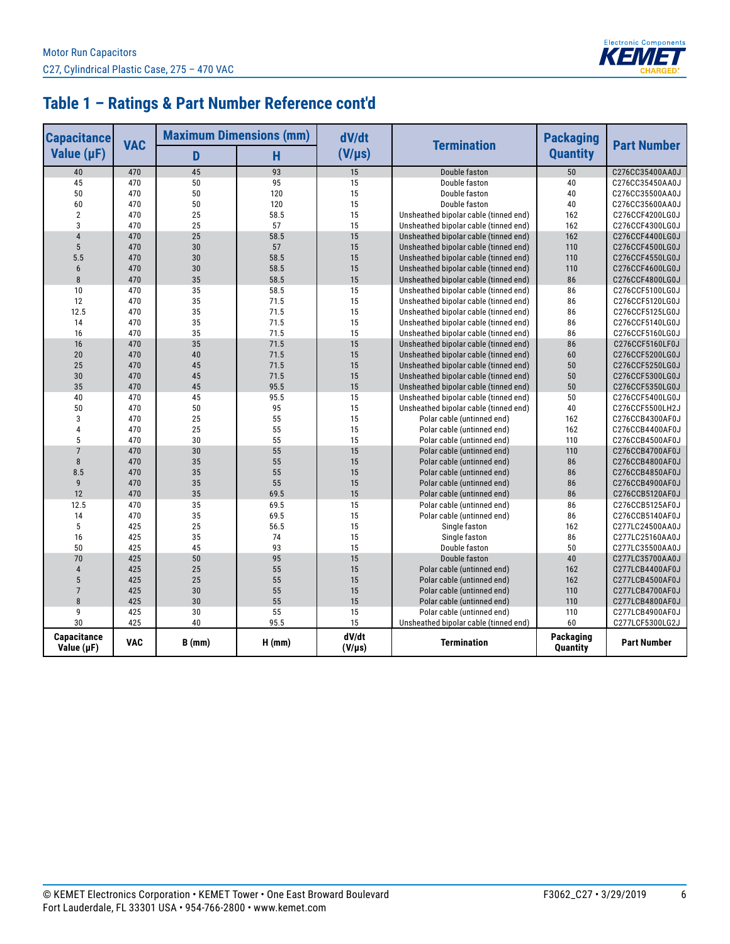

# **Table 1 – Ratings & Part Number Reference cont'd**

| <b>Capacitance</b>        | <b>VAC</b> | <b>Maximum Dimensions (mm)</b> |          | dV/dt                | <b>Termination</b>                    | <b>Packaging</b>      | <b>Part Number</b> |
|---------------------------|------------|--------------------------------|----------|----------------------|---------------------------------------|-----------------------|--------------------|
| Value $(\mu F)$           |            | D                              | Ĥ        | $(V/\mu s)$          |                                       | <b>Quantity</b>       |                    |
| 40                        | 470        | 45                             | 93       | 15                   | Double faston                         | 50                    | C276CC35400AA0J    |
| 45                        | 470        | 50                             | 95       | 15                   | Double faston                         | 40                    | C276CC35450AA0J    |
| 50                        | 470        | 50                             | 120      | 15                   | Double faston                         | 40                    | C276CC35500AA0J    |
| 60                        | 470        | 50                             | 120      | 15                   | Double faston                         | 40                    | C276CC35600AA0J    |
| $\overline{2}$            | 470        | 25                             | 58.5     | 15                   | Unsheathed bipolar cable (tinned end) | 162                   | C276CCF4200LG0J    |
| $\overline{3}$            | 470        | 25                             | 57       | 15                   | Unsheathed bipolar cable (tinned end) | 162                   | C276CCF4300LG0J    |
| $\overline{4}$            | 470        | 25                             | 58.5     | 15                   | Unsheathed bipolar cable (tinned end) | 162                   | C276CCF4400LG0J    |
| 5                         | 470        | 30                             | 57       | 15                   | Unsheathed bipolar cable (tinned end) | 110                   | C276CCF4500LG0J    |
| 5.5                       | 470        | 30                             | 58.5     | 15                   | Unsheathed bipolar cable (tinned end) | 110                   | C276CCF4550LG0J    |
| $6\phantom{1}$            | 470        | 30                             | 58.5     | 15                   | Unsheathed bipolar cable (tinned end) | 110                   | C276CCF4600LG0J    |
| 8                         | 470        | 35                             | 58.5     | 15                   | Unsheathed bipolar cable (tinned end) | 86                    | C276CCF4800LG0J    |
| 10                        | 470        | 35                             | 58.5     | 15                   | Unsheathed bipolar cable (tinned end) | 86                    | C276CCF5100LG0J    |
| 12                        | 470        | 35                             | 71.5     | 15                   | Unsheathed bipolar cable (tinned end) | 86                    | C276CCF5120LG0J    |
| 12.5                      | 470        | 35                             | 71.5     | 15                   | Unsheathed bipolar cable (tinned end) | 86                    | C276CCF5125LG0J    |
| 14                        | 470        | 35                             | 71.5     | 15                   | Unsheathed bipolar cable (tinned end) | 86                    | C276CCF5140LG0J    |
| 16                        | 470        | 35                             | 71.5     | 15                   | Unsheathed bipolar cable (tinned end) | 86                    | C276CCF5160LG0J    |
| 16                        | 470        | 35                             | 71.5     | 15                   | Unsheathed bipolar cable (tinned end) | 86                    | C276CCF5160LF0J    |
| 20                        | 470        | 40                             | 71.5     | 15                   | Unsheathed bipolar cable (tinned end) | 60                    | C276CCF5200LG0J    |
| 25                        | 470        | 45                             | 71.5     | 15                   | Unsheathed bipolar cable (tinned end) | 50                    | C276CCF5250LG0J    |
| 30                        | 470        | 45                             | 71.5     | 15                   | Unsheathed bipolar cable (tinned end) | 50                    | C276CCF5300LG0J    |
| 35                        | 470        | 45                             | 95.5     | 15                   | Unsheathed bipolar cable (tinned end) | 50                    | C276CCF5350LG0J    |
| 40                        | 470        | 45                             | 95.5     | 15                   | Unsheathed bipolar cable (tinned end) | 50                    | C276CCF5400LG0J    |
| 50                        | 470        | 50                             | 95       | 15                   | Unsheathed bipolar cable (tinned end) | 40                    | C276CCF5500LH2J    |
| 3                         | 470        | 25                             | 55       | 15                   | Polar cable (untinned end)            | 162                   | C276CCB4300AF0J    |
| $\overline{4}$            | 470        | 25                             | 55       | 15                   | Polar cable (untinned end)            | 162                   | C276CCB4400AF0J    |
| 5                         | 470        | 30                             | 55       | 15                   | Polar cable (untinned end)            | 110                   | C276CCB4500AF0J    |
| $\overline{7}$            | 470        | 30                             | 55       | 15                   | Polar cable (untinned end)            | 110                   | C276CCB4700AF0J    |
| 8                         | 470        | 35                             | 55       | 15                   | Polar cable (untinned end)            | 86                    | C276CCB4800AF0J    |
| 8.5                       | 470        | 35                             | 55       | 15                   | Polar cable (untinned end)            | 86                    | C276CCB4850AF0J    |
| $\boldsymbol{9}$          | 470        | 35                             | 55       | 15                   | Polar cable (untinned end)            | 86                    | C276CCB4900AF0J    |
| 12                        | 470        | 35                             | 69.5     | 15                   | Polar cable (untinned end)            | 86                    | C276CCB5120AF0J    |
| 12.5                      | 470        | 35                             | 69.5     | 15                   | Polar cable (untinned end)            | 86                    | C276CCB5125AF0J    |
| 14                        | 470        | 35                             | 69.5     | 15                   | Polar cable (untinned end)            | 86                    | C276CCB5140AF0J    |
| 5                         | 425        | 25                             | 56.5     | 15                   | Single faston                         | 162                   | C277LC24500AA0J    |
| 16                        | 425        | 35                             | 74       | 15                   | Single faston                         | 86                    | C277LC25160AA0J    |
| 50                        | 425        | 45                             | 93       | 15                   | Double faston                         | 50                    | C277LC35500AA0J    |
| 70                        | 425        | 50                             | 95       | 15                   | Double faston                         | 40                    | C277LC35700AA0J    |
| $\overline{4}$            | 425        | 25                             | 55       | 15                   | Polar cable (untinned end)            | 162                   | C277LCB4400AF0J    |
| 5                         | 425        | 25                             | 55       | 15                   | Polar cable (untinned end)            | 162                   | C277LCB4500AF0J    |
| $\overline{7}$            | 425        | 30                             | 55       | 15                   | Polar cable (untinned end)            | 110                   | C277LCB4700AF0J    |
| 8                         | 425        | 30                             | 55       | 15                   | Polar cable (untinned end)            | 110                   | C277LCB4800AF0J    |
| 9                         | 425        | 30                             | 55       | 15                   | Polar cable (untinned end)            | 110                   | C277LCB4900AF0J    |
| 30                        | 425        | 40                             | 95.5     | 15                   | Unsheathed bipolar cable (tinned end) | 60                    | C277LCF5300LG2J    |
| Capacitance<br>Value (µF) | <b>VAC</b> | B (mm)                         | $H$ (mm) | dV/dt<br>$(V/\mu s)$ | <b>Termination</b>                    | Packaging<br>Quantity | <b>Part Number</b> |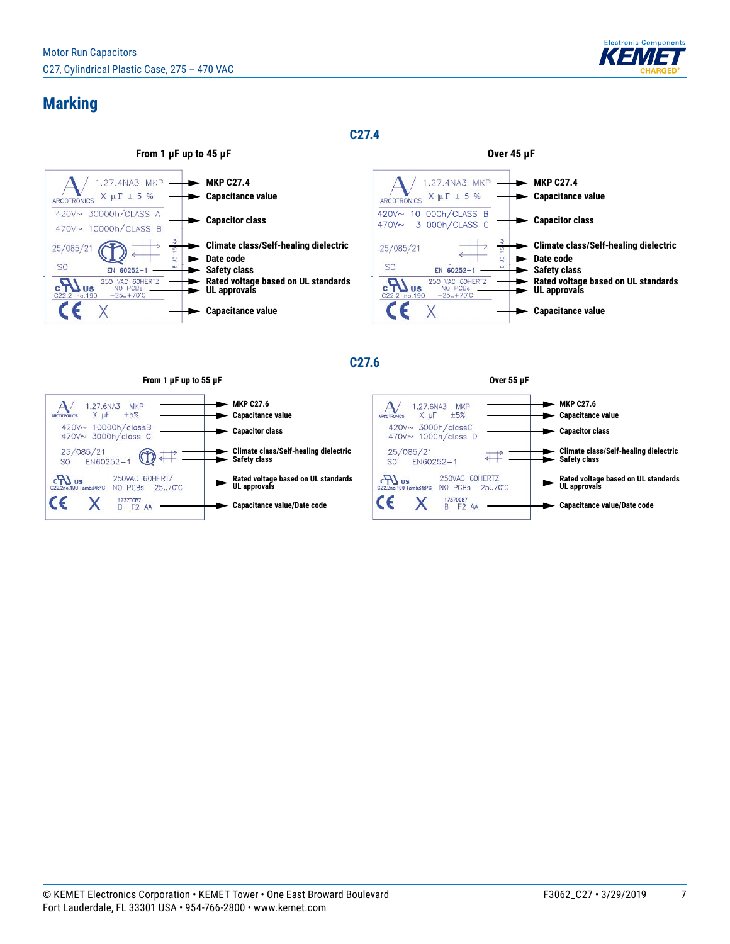

## **Marking**

**C27.4**



#### **C27.6**



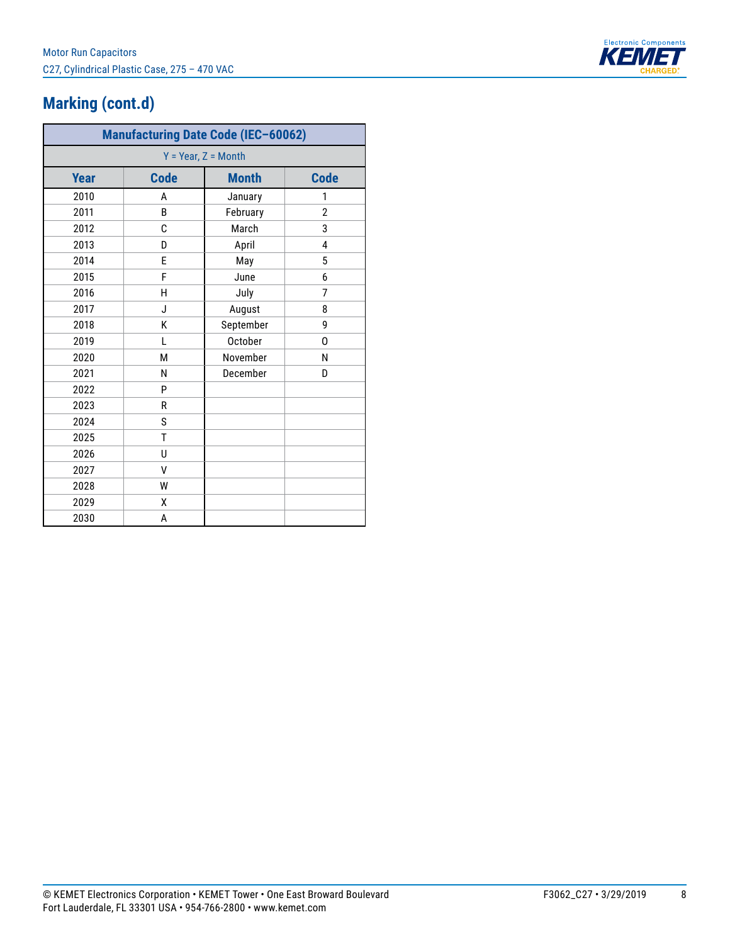

# **Marking (cont.d)**

| <b>Manufacturing Date Code (IEC-60062)</b> |             |                |                |  |  |  |  |
|--------------------------------------------|-------------|----------------|----------------|--|--|--|--|
| $Y = Year, Z = Month$                      |             |                |                |  |  |  |  |
| <b>Year</b>                                | <b>Code</b> | <b>Month</b>   | <b>Code</b>    |  |  |  |  |
| 2010                                       | A           | January        | 1              |  |  |  |  |
| 2011                                       | B           | February       | $\overline{2}$ |  |  |  |  |
| 2012                                       | C           | March          | 3              |  |  |  |  |
| 2013                                       | D           | April          | 4              |  |  |  |  |
| 2014                                       | E           | May            | 5              |  |  |  |  |
| 2015                                       | F           | June           | 6              |  |  |  |  |
| 2016                                       | H           | July           | 7              |  |  |  |  |
| 2017                                       | J           | August         | 8              |  |  |  |  |
| 2018                                       | K           | September      | 9              |  |  |  |  |
| 2019                                       | L           | <b>October</b> | 0              |  |  |  |  |
| 2020                                       | М           | November       | N              |  |  |  |  |
| 2021                                       | N           | December       | D              |  |  |  |  |
| 2022                                       | P           |                |                |  |  |  |  |
| 2023                                       | R           |                |                |  |  |  |  |
| 2024                                       | S           |                |                |  |  |  |  |
| 2025                                       | T           |                |                |  |  |  |  |
| 2026                                       | U           |                |                |  |  |  |  |
| 2027                                       | V           |                |                |  |  |  |  |
| 2028                                       | W           |                |                |  |  |  |  |
| 2029                                       | χ           |                |                |  |  |  |  |
| 2030                                       | А           |                |                |  |  |  |  |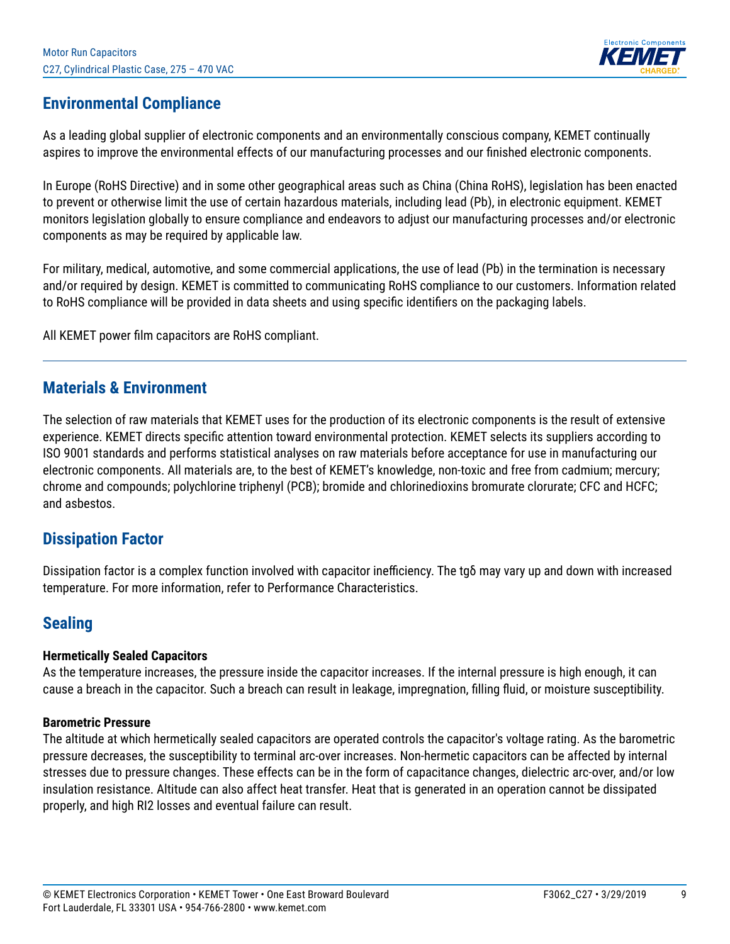

## **Environmental Compliance**

As a leading global supplier of electronic components and an environmentally conscious company, KEMET continually aspires to improve the environmental effects of our manufacturing processes and our finished electronic components.

In Europe (RoHS Directive) and in some other geographical areas such as China (China RoHS), legislation has been enacted to prevent or otherwise limit the use of certain hazardous materials, including lead (Pb), in electronic equipment. KEMET monitors legislation globally to ensure compliance and endeavors to adjust our manufacturing processes and/or electronic components as may be required by applicable law.

For military, medical, automotive, and some commercial applications, the use of lead (Pb) in the termination is necessary and/or required by design. KEMET is committed to communicating RoHS compliance to our customers. Information related to RoHS compliance will be provided in data sheets and using specific identifiers on the packaging labels.

All KEMET power film capacitors are RoHS compliant.

### **Materials & Environment**

The selection of raw materials that KEMET uses for the production of its electronic components is the result of extensive experience. KEMET directs specific attention toward environmental protection. KEMET selects its suppliers according to ISO 9001 standards and performs statistical analyses on raw materials before acceptance for use in manufacturing our electronic components. All materials are, to the best of KEMET's knowledge, non-toxic and free from cadmium; mercury; chrome and compounds; polychlorine triphenyl (PCB); bromide and chlorinedioxins bromurate clorurate; CFC and HCFC; and asbestos.

### **Dissipation Factor**

Dissipation factor is a complex function involved with capacitor inefficiency. The tgδ may vary up and down with increased temperature. For more information, refer to Performance Characteristics.

### **Sealing**

#### **Hermetically Sealed Capacitors**

As the temperature increases, the pressure inside the capacitor increases. If the internal pressure is high enough, it can cause a breach in the capacitor. Such a breach can result in leakage, impregnation, filling fluid, or moisture susceptibility.

#### **Barometric Pressure**

The altitude at which hermetically sealed capacitors are operated controls the capacitor's voltage rating. As the barometric pressure decreases, the susceptibility to terminal arc-over increases. Non-hermetic capacitors can be affected by internal stresses due to pressure changes. These effects can be in the form of capacitance changes, dielectric arc-over, and/or low insulation resistance. Altitude can also affect heat transfer. Heat that is generated in an operation cannot be dissipated properly, and high RI2 losses and eventual failure can result.